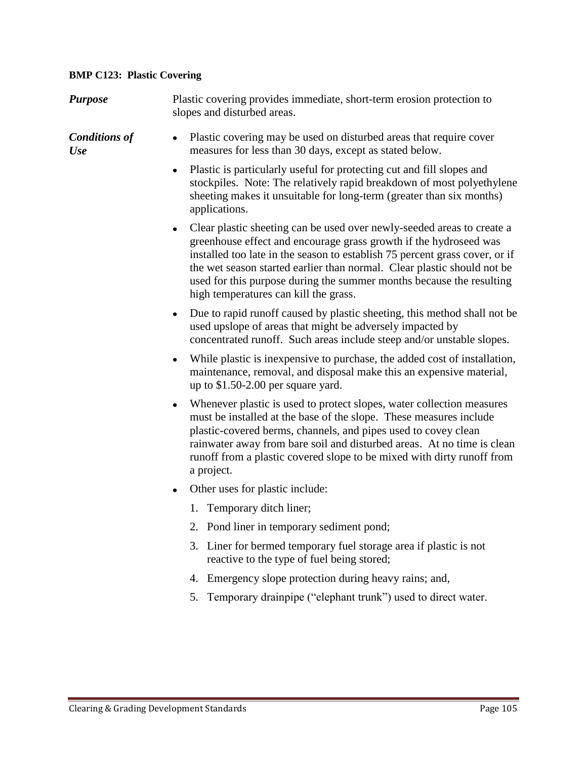## **BMP C123: Plastic Covering**

| <b>Purpose</b>                     | Plastic covering provides immediate, short-term erosion protection to<br>slopes and disturbed areas.                                                                                                                                                                                                                                                                                                                        |
|------------------------------------|-----------------------------------------------------------------------------------------------------------------------------------------------------------------------------------------------------------------------------------------------------------------------------------------------------------------------------------------------------------------------------------------------------------------------------|
| <b>Conditions of</b><br><b>Use</b> | Plastic covering may be used on disturbed areas that require cover<br>$\bullet$<br>measures for less than 30 days, except as stated below.                                                                                                                                                                                                                                                                                  |
|                                    | Plastic is particularly useful for protecting cut and fill slopes and<br>٠<br>stockpiles. Note: The relatively rapid breakdown of most polyethylene<br>sheeting makes it unsuitable for long-term (greater than six months)<br>applications.                                                                                                                                                                                |
|                                    | Clear plastic sheeting can be used over newly-seeded areas to create a<br>٠<br>greenhouse effect and encourage grass growth if the hydroseed was<br>installed too late in the season to establish 75 percent grass cover, or if<br>the wet season started earlier than normal. Clear plastic should not be<br>used for this purpose during the summer months because the resulting<br>high temperatures can kill the grass. |
|                                    | Due to rapid runoff caused by plastic sheeting, this method shall not be<br>$\bullet$<br>used upslope of areas that might be adversely impacted by<br>concentrated runoff. Such areas include steep and/or unstable slopes.                                                                                                                                                                                                 |
|                                    | While plastic is inexpensive to purchase, the added cost of installation,<br>٠<br>maintenance, removal, and disposal make this an expensive material,<br>up to $$1.50-2.00$ per square yard.                                                                                                                                                                                                                                |
|                                    | Whenever plastic is used to protect slopes, water collection measures<br>$\bullet$<br>must be installed at the base of the slope. These measures include<br>plastic-covered berms, channels, and pipes used to covey clean<br>rainwater away from bare soil and disturbed areas. At no time is clean<br>runoff from a plastic covered slope to be mixed with dirty runoff from<br>a project.                                |
|                                    | Other uses for plastic include:<br>$\bullet$                                                                                                                                                                                                                                                                                                                                                                                |
|                                    | 1. Temporary ditch liner;                                                                                                                                                                                                                                                                                                                                                                                                   |
|                                    | Pond liner in temporary sediment pond;<br>2.                                                                                                                                                                                                                                                                                                                                                                                |
|                                    | Liner for bermed temporary fuel storage area if plastic is not<br>3.<br>reactive to the type of fuel being stored;                                                                                                                                                                                                                                                                                                          |
|                                    | Emergency slope protection during heavy rains; and,<br>4.                                                                                                                                                                                                                                                                                                                                                                   |
|                                    | Temporary drainpipe ("elephant trunk") used to direct water.<br>5.                                                                                                                                                                                                                                                                                                                                                          |
|                                    |                                                                                                                                                                                                                                                                                                                                                                                                                             |